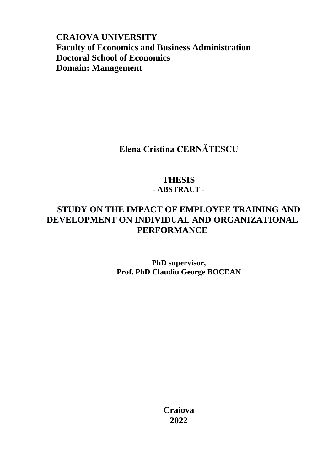**CRAIOVA UNIVERSITY Faculty of Economics and Business Administration Doctoral School of Economics Domain: Management**

**Elena Cristina CERNĂTESCU**

## **THESIS - ABSTRACT -**

## **STUDY ON THE IMPACT OF EMPLOYEE TRAINING AND DEVELOPMENT ON INDIVIDUAL AND ORGANIZATIONAL PERFORMANCE**

**PhD supervisor, Prof. PhD Claudiu George BOCEAN**

> **Craiova 2022**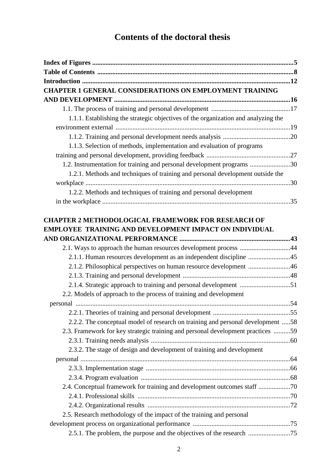## **Contents of the doctoral thesis**

| <b>CHAPTER 1 GENERAL CONSIDERATIONS ON EMPLOYMENT TRAINING</b>                                                             |  |
|----------------------------------------------------------------------------------------------------------------------------|--|
|                                                                                                                            |  |
|                                                                                                                            |  |
| 1.1.1. Establishing the strategic objectives of the organization and analyzing the                                         |  |
|                                                                                                                            |  |
|                                                                                                                            |  |
| 1.1.3. Selection of methods, implementation and evaluation of programs                                                     |  |
|                                                                                                                            |  |
| 1.2. Instrumentation for training and personal development programs 30                                                     |  |
| 1.2.1. Methods and techniques of training and personal development outside the                                             |  |
|                                                                                                                            |  |
| 1.2.2. Methods and techniques of training and personal development                                                         |  |
|                                                                                                                            |  |
| <b>CHAPTER 2 METHODOLOGICAL FRAMEWORK FOR RESEARCH OF</b><br><b>EMPLOYEE TRAINING AND DEVELOPMENT IMPACT ON INDIVIDUAL</b> |  |
|                                                                                                                            |  |
| 2.1. Ways to approach the human resources development process 44                                                           |  |
| 2.1.1. Human resources development as an independent discipline 45                                                         |  |
| 2.1.2. Philosophical perspectives on human resource development 46                                                         |  |
|                                                                                                                            |  |
| 2.1.4. Strategic approach to training and personal development 51                                                          |  |
| 2.2. Models of approach to the process of training and development                                                         |  |
|                                                                                                                            |  |
|                                                                                                                            |  |
| 2.2.2. The conceptual model of research on training and personal development 58                                            |  |
| 2.3. Framework for key strategic training and personal development practices 59                                            |  |
| 2.3.2. The stage of design and development of training and development                                                     |  |
|                                                                                                                            |  |
|                                                                                                                            |  |
|                                                                                                                            |  |
| 2.4. Conceptual framework for training and development outcomes staff 70                                                   |  |
|                                                                                                                            |  |
|                                                                                                                            |  |
| 2.5. Research methodology of the impact of the training and personal                                                       |  |
|                                                                                                                            |  |
| 2.5.1. The problem, the purpose and the objectives of the research 75                                                      |  |
|                                                                                                                            |  |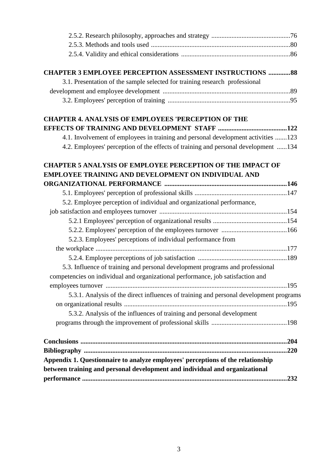| <b>CHAPTER 3 EMPLOYEE PERCEPTION ASSESSMENT INSTRUCTIONS  88</b>                       |  |
|----------------------------------------------------------------------------------------|--|
| 3.1. Presentation of the sample selected for training research professional            |  |
|                                                                                        |  |
|                                                                                        |  |
| <b>CHAPTER 4. ANALYSIS OF EMPLOYEES 'PERCEPTION OF THE</b>                             |  |
|                                                                                        |  |
| 4.1. Involvement of employees in training and personal development activities 123      |  |
| 4.2. Employees' perception of the effects of training and personal development 134     |  |
| <b>CHAPTER 5 ANALYSIS OF EMPLOYEE PERCEPTION OF THE IMPACT OF</b>                      |  |
| <b>EMPLOYEE TRAINING AND DEVELOPMENT ON INDIVIDUAL AND</b>                             |  |
|                                                                                        |  |
|                                                                                        |  |
| 5.2. Employee perception of individual and organizational performance,                 |  |
|                                                                                        |  |
|                                                                                        |  |
|                                                                                        |  |
| 5.2.3. Employees' perceptions of individual performance from                           |  |
|                                                                                        |  |
|                                                                                        |  |
| 5.3. Influence of training and personal development programs and professional          |  |
| competencies on individual and organizational performance, job satisfaction and        |  |
|                                                                                        |  |
| 5.3.1. Analysis of the direct influences of training and personal development programs |  |
|                                                                                        |  |
| 5.3.2. Analysis of the influences of training and personal development                 |  |
|                                                                                        |  |
|                                                                                        |  |
|                                                                                        |  |
| Appendix 1. Questionnaire to analyze employees' perceptions of the relationship        |  |
| between training and personal development and individual and organizational            |  |
|                                                                                        |  |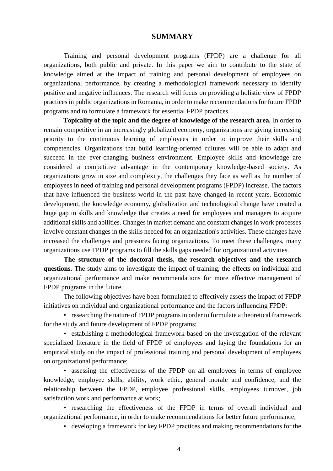## **SUMMARY**

Training and personal development programs (FPDP) are a challenge for all organizations, both public and private. In this paper we aim to contribute to the state of knowledge aimed at the impact of training and personal development of employees on organizational performance, by creating a methodological framework necessary to identify positive and negative influences. The research will focus on providing a holistic view of FPDP practices in public organizations in Romania, in order to make recommendations for future FPDP programs and to formulate a framework for essential FPDP practices.

**Topicality of the topic and the degree of knowledge of the research area.** In order to remain competitive in an increasingly globalized economy, organizations are giving increasing priority to the continuous learning of employees in order to improve their skills and competencies. Organizations that build learning-oriented cultures will be able to adapt and succeed in the ever-changing business environment. Employee skills and knowledge are considered a competitive advantage in the contemporary knowledge-based society. As organizations grow in size and complexity, the challenges they face as well as the number of employees in need of training and personal development programs (FPDP) increase. The factors that have influenced the business world in the past have changed in recent years. Economic development, the knowledge economy, globalization and technological change have created a huge gap in skills and knowledge that creates a need for employees and managers to acquire additional skills and abilities. Changes in market demand and constant changes in work processes involve constant changes in the skills needed for an organization's activities. These changes have increased the challenges and pressures facing organizations. To meet these challenges, many organizations use FPDP programs to fill the skills gaps needed for organizational activities.

**The structure of the doctoral thesis, the research objectives and the research questions.** The study aims to investigate the impact of training, the effects on individual and organizational performance and make recommendations for more effective management of FPDP programs in the future.

The following objectives have been formulated to effectively assess the impact of FPDP initiatives on individual and organizational performance and the factors influencing FPDP:

• researching the nature of FPDP programs in order to formulate a theoretical framework for the study and future development of FPDP programs;

• establishing a methodological framework based on the investigation of the relevant specialized literature in the field of FPDP of employees and laying the foundations for an empirical study on the impact of professional training and personal development of employees on organizational performance;

• assessing the effectiveness of the FPDP on all employees in terms of employee knowledge, employee skills, ability, work ethic, general morale and confidence, and the relationship between the FPDP, employee professional skills, employees turnover, job satisfaction work and performance at work;

• researching the effectiveness of the FPDP in terms of overall individual and organizational performance, in order to make recommendations for better future performance;

• developing a framework for key FPDP practices and making recommendations for the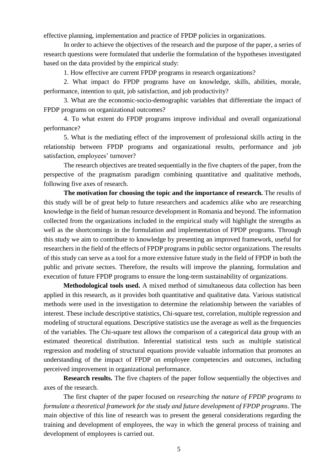effective planning, implementation and practice of FPDP policies in organizations.

In order to achieve the objectives of the research and the purpose of the paper, a series of research questions were formulated that underlie the formulation of the hypotheses investigated based on the data provided by the empirical study:

1. How effective are current FPDP programs in research organizations?

2. What impact do FPDP programs have on knowledge, skills, abilities, morale, performance, intention to quit, job satisfaction, and job productivity?

3. What are the economic-socio-demographic variables that differentiate the impact of FPDP programs on organizational outcomes?

4. To what extent do FPDP programs improve individual and overall organizational performance?

5. What is the mediating effect of the improvement of professional skills acting in the relationship between FPDP programs and organizational results, performance and job satisfaction, employees' turnover?

The research objectives are treated sequentially in the five chapters of the paper, from the perspective of the pragmatism paradigm combining quantitative and qualitative methods, following five axes of research.

**The motivation for choosing the topic and the importance of research.** The results of this study will be of great help to future researchers and academics alike who are researching knowledge in the field of human resource development in Romania and beyond. The information collected from the organizations included in the empirical study will highlight the strengths as well as the shortcomings in the formulation and implementation of FPDP programs. Through this study we aim to contribute to knowledge by presenting an improved framework, useful for researchers in the field of the effects of FPDP programs in public sector organizations. The results of this study can serve as a tool for a more extensive future study in the field of FPDP in both the public and private sectors. Therefore, the results will improve the planning, formulation and execution of future FPDP programs to ensure the long-term sustainability of organizations.

**Methodological tools used.** A mixed method of simultaneous data collection has been applied in this research, as it provides both quantitative and qualitative data. Various statistical methods were used in the investigation to determine the relationship between the variables of interest. These include descriptive statistics, Chi-square test, correlation, multiple regression and modeling of structural equations. Descriptive statistics use the average as well as the frequencies of the variables. The Chi-square test allows the comparison of a categorical data group with an estimated theoretical distribution. Inferential statistical tests such as multiple statistical regression and modeling of structural equations provide valuable information that promotes an understanding of the impact of FPDP on employee competencies and outcomes, including perceived improvement in organizational performance.

**Research results.** The five chapters of the paper follow sequentially the objectives and axes of the research.

The first chapter of the paper focused on *researching the nature of FPDP programs to formulate a theoretical framework for the study and future development of FPDP programs*. The main objective of this line of research was to present the general considerations regarding the training and development of employees, the way in which the general process of training and development of employees is carried out.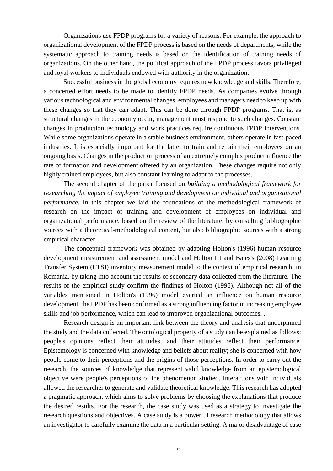Organizations use FPDP programs for a variety of reasons. For example, the approach to organizational development of the FPDP process is based on the needs of departments, while the systematic approach to training needs is based on the identification of training needs of organizations. On the other hand, the political approach of the FPDP process favors privileged and loyal workers to individuals endowed with authority in the organization.

Successful business in the global economy requires new knowledge and skills. Therefore, a concerted effort needs to be made to identify FPDP needs. As companies evolve through various technological and environmental changes, employees and managers need to keep up with these changes so that they can adapt. This can be done through FPDP programs. That is, as structural changes in the economy occur, management must respond to such changes. Constant changes in production technology and work practices require continuous FPDP interventions. While some organizations operate in a stable business environment, others operate in fast-paced industries. It is especially important for the latter to train and retrain their employees on an ongoing basis. Changes in the production process of an extremely complex product influence the rate of formation and development offered by an organization. These changes require not only highly trained employees, but also constant learning to adapt to the processes.

The second chapter of the paper focused on *building a methodological framework for researching the impact of employee training and development on individual and organizational performance*. In this chapter we laid the foundations of the methodological framework of research on the impact of training and development of employees on individual and organizational performance, based on the review of the literature, by consulting bibliographic sources with a theoretical-methodological content, but also bibliographic sources with a strong empirical character.

The conceptual framework was obtained by adapting Holton's (1996) human resource development measurement and assessment model and Holton III and Bates's (2008) Learning Transfer System (LTSI) inventory measurement model to the context of empirical research. in Romania, by taking into account the results of secondary data collected from the literature. The results of the empirical study confirm the findings of Holton (1996). Although not all of the variables mentioned in Holton's (1996) model exerted an influence on human resource development, the FPDP has been confirmed as a strong influencing factor in increasing employee skills and job performance, which can lead to improved organizational outcomes. .

Research design is an important link between the theory and analysis that underpinned the study and the data collected. The ontological property of a study can be explained as follows: people's opinions reflect their attitudes, and their attitudes reflect their performance. Epistemology is concerned with knowledge and beliefs about reality; she is concerned with how people come to their perceptions and the origins of those perceptions. In order to carry out the research, the sources of knowledge that represent valid knowledge from an epistemological objective were people's perceptions of the phenomenon studied. Interactions with individuals allowed the researcher to generate and validate theoretical knowledge. This research has adopted a pragmatic approach, which aims to solve problems by choosing the explanations that produce the desired results. For the research, the case study was used as a strategy to investigate the research questions and objectives. A case study is a powerful research methodology that allows an investigator to carefully examine the data in a particular setting. A major disadvantage of case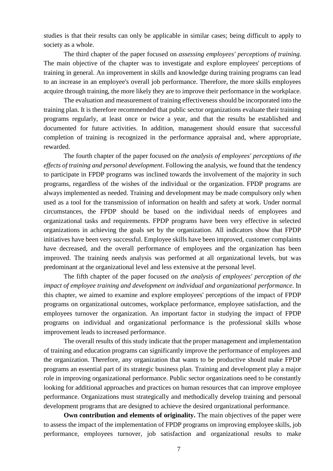studies is that their results can only be applicable in similar cases; being difficult to apply to society as a whole.

The third chapter of the paper focused on *assessing employees' perceptions of training*. The main objective of the chapter was to investigate and explore employees' perceptions of training in general. An improvement in skills and knowledge during training programs can lead to an increase in an employee's overall job performance. Therefore, the more skills employees acquire through training, the more likely they are to improve their performance in the workplace.

The evaluation and measurement of training effectiveness should be incorporated into the training plan. It is therefore recommended that public sector organizations evaluate their training programs regularly, at least once or twice a year, and that the results be established and documented for future activities. In addition, management should ensure that successful completion of training is recognized in the performance appraisal and, where appropriate, rewarded.

The fourth chapter of the paper focused on *the analysis of employees' perceptions of the effects of training and personal development*. Following the analysis, we found that the tendency to participate in FPDP programs was inclined towards the involvement of the majority in such programs, regardless of the wishes of the individual or the organization. FPDP programs are always implemented as needed. Training and development may be made compulsory only when used as a tool for the transmission of information on health and safety at work. Under normal circumstances, the FPDP should be based on the individual needs of employees and organizational tasks and requirements. FPDP programs have been very effective in selected organizations in achieving the goals set by the organization. All indicators show that FPDP initiatives have been very successful. Employee skills have been improved, customer complaints have decreased, and the overall performance of employees and the organization has been improved. The training needs analysis was performed at all organizational levels, but was predominant at the organizational level and less extensive at the personal level.

The fifth chapter of the paper focused on *the analysis of employees' perception of the impact of employee training and development on individual and organizational performance*. In this chapter, we aimed to examine and explore employees' perceptions of the impact of FPDP programs on organizational outcomes, workplace performance, employee satisfaction, and the employees turnover the organization. An important factor in studying the impact of FPDP programs on individual and organizational performance is the professional skills whose improvement leads to increased performance.

The overall results of this study indicate that the proper management and implementation of training and education programs can significantly improve the performance of employees and the organization. Therefore, any organization that wants to be productive should make FPDP programs an essential part of its strategic business plan. Training and development play a major role in improving organizational performance. Public sector organizations need to be constantly looking for additional approaches and practices on human resources that can improve employee performance. Organizations must strategically and methodically develop training and personal development programs that are designed to achieve the desired organizational performance.

**Own contribution and elements of originality.** The main objectives of the paper were to assess the impact of the implementation of FPDP programs on improving employee skills, job performance, employees turnover, job satisfaction and organizational results to make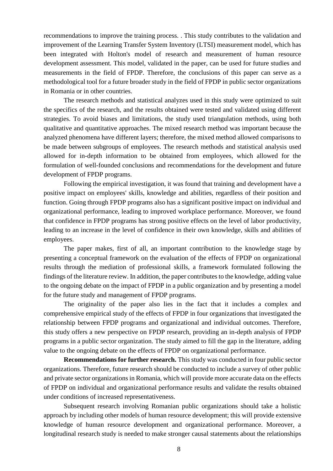recommendations to improve the training process. . This study contributes to the validation and improvement of the Learning Transfer System Inventory (LTSI) measurement model, which has been integrated with Holton's model of research and measurement of human resource development assessment. This model, validated in the paper, can be used for future studies and measurements in the field of FPDP. Therefore, the conclusions of this paper can serve as a methodological tool for a future broader study in the field of FPDP in public sector organizations in Romania or in other countries.

The research methods and statistical analyzes used in this study were optimized to suit the specifics of the research, and the results obtained were tested and validated using different strategies. To avoid biases and limitations, the study used triangulation methods, using both qualitative and quantitative approaches. The mixed research method was important because the analyzed phenomena have different layers; therefore, the mixed method allowed comparisons to be made between subgroups of employees. The research methods and statistical analysis used allowed for in-depth information to be obtained from employees, which allowed for the formulation of well-founded conclusions and recommendations for the development and future development of FPDP programs.

Following the empirical investigation, it was found that training and development have a positive impact on employees' skills, knowledge and abilities, regardless of their position and function. Going through FPDP programs also has a significant positive impact on individual and organizational performance, leading to improved workplace performance. Moreover, we found that confidence in FPDP programs has strong positive effects on the level of labor productivity, leading to an increase in the level of confidence in their own knowledge, skills and abilities of employees.

The paper makes, first of all, an important contribution to the knowledge stage by presenting a conceptual framework on the evaluation of the effects of FPDP on organizational results through the mediation of professional skills, a framework formulated following the findings of the literature review. In addition, the paper contributes to the knowledge, adding value to the ongoing debate on the impact of FPDP in a public organization and by presenting a model for the future study and management of FPDP programs.

The originality of the paper also lies in the fact that it includes a complex and comprehensive empirical study of the effects of FPDP in four organizations that investigated the relationship between FPDP programs and organizational and individual outcomes. Therefore, this study offers a new perspective on FPDP research, providing an in-depth analysis of FPDP programs in a public sector organization. The study aimed to fill the gap in the literature, adding value to the ongoing debate on the effects of FPDP on organizational performance.

**Recommendations for further research.** This study was conducted in four public sector organizations. Therefore, future research should be conducted to include a survey of other public and private sector organizations in Romania, which will provide more accurate data on the effects of FPDP on individual and organizational performance results and validate the results obtained under conditions of increased representativeness.

Subsequent research involving Romanian public organizations should take a holistic approach by including other models of human resource development; this will provide extensive knowledge of human resource development and organizational performance. Moreover, a longitudinal research study is needed to make stronger causal statements about the relationships